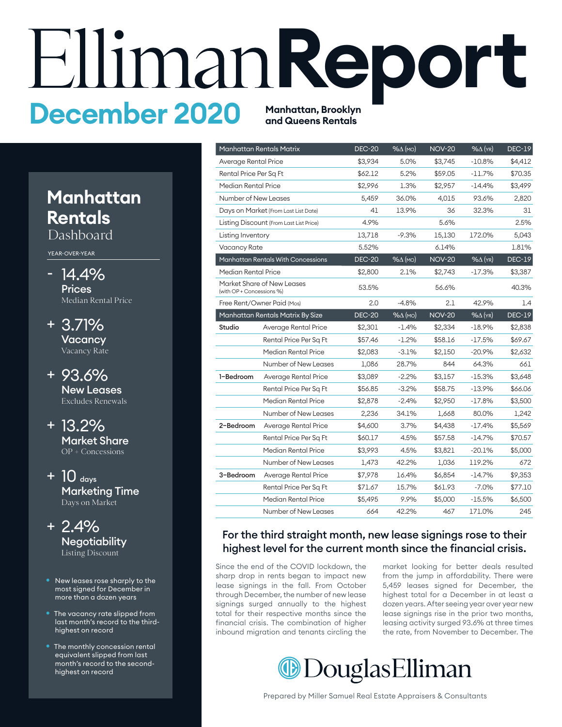# EllimanReport **and Queens Rentals**

## **Manhattan Rentals**

Dashboard

YEAR-OVER-YEAR

- 14.4% **Prices** Median Rental Price
- 3.71% + **Vacancy** Vacancy Rate
- 93.6% + New Leases Excludes Renewals
- 13.2% + Market Share OP + Concessions
- $+$  10  $_{\text{days}}$ Marketing Time Days on Market
- 2.4% + **Negotiability** Listing Discount
- New leases rose sharply to the most signed for December in more than a dozen years
- The vacancy rate slipped from last month's record to the thirdhighest on record
- The monthly concession rental equivalent slipped from last month's record to the secondhighest on record

|                           | Manhattan Rentals Matrix                | <b>DEC-20</b> | %∆ (мо)            | <b>NOV-20</b> | $% \Delta$ (YR)   | <b>DEC-19</b> |
|---------------------------|-----------------------------------------|---------------|--------------------|---------------|-------------------|---------------|
| Average Rental Price      |                                         | \$3,934       | 5.0%               | \$3,745       | $-10.8%$          | \$4,412       |
| Rental Price Per Sq Ft    |                                         | \$62.12       | 5.2%               | \$59.05       | $-11.7\%$         | \$70.35       |
| Median Rental Price       |                                         | \$2,996       | 1.3%               | \$2,957       | $-14.4%$          | \$3,499       |
| Number of New Leases      |                                         | 5,459         | 36.0%              | 4,015         | 93.6%             | 2,820         |
|                           | Days on Market (From Last List Date)    | 41            | 13.9%              | 36            | 32.3%             | 31            |
|                           | Listing Discount (From Last List Price) | 4.9%          |                    | 5.6%          |                   | 2.5%          |
| Listing Inventory         |                                         | 13,718        | $-9.3%$            | 15,130        | 172.0%            | 5,043         |
| <b>Vacancy Rate</b>       |                                         | 5.52%         |                    | 6.14%         |                   | 1.81%         |
|                           | Manhattan Rentals With Concessions      | <b>DEC-20</b> | $% \triangle (MO)$ | <b>NOV-20</b> | $% \Delta$ (YR)   | <b>DEC-19</b> |
| Median Rental Price       |                                         | \$2,800       | 2.1%               | \$2,743       | $-17.3%$          | \$3,387       |
| (with OP + Concessions %) | Market Share of New Leases              | 53.5%         |                    | 56.6%         |                   | 40.3%         |
|                           | Free Rent/Owner Paid (Mos)              | 2.0           | $-4.8%$            | 2.1           | 42.9%             | 1.4           |
|                           | Manhattan Rentals Matrix By Size        | <b>DEC-20</b> | $% \triangle (MO)$ | <b>NOV-20</b> | $%$ $\Delta$ (YR) | <b>DEC-19</b> |
| Studio                    | Average Rental Price                    | \$2,301       | $-1.4\%$           | \$2,334       | $-18.9\%$         | \$2,838       |
|                           | Rental Price Per Sq Ft                  | \$57.46       | $-1.2%$            | \$58.16       | -17.5%            | \$69.67       |
|                           | Median Rental Price                     | \$2,083       | $-3.1%$            | \$2,150       | $-20.9%$          | \$2,632       |
|                           | Number of New Leases                    | 1.086         | 28.7%              | 844           | 64.3%             | 661           |
| 1-Bedroom                 | Average Rental Price                    | \$3,089       | $-2.2%$            | \$3,157       | $-15.3%$          | \$3,648       |
|                           | Rental Price Per Sq Ft                  | \$56.85       | $-3.2%$            | \$58.75       | $-13.9\%$         | \$66.06       |
|                           | Median Rental Price                     | \$2,878       | $-2.4%$            | \$2,950       | $-17.8%$          | \$3,500       |
|                           | Number of New Leases                    | 2,236         | 34.1%              | 1,668         | 80.0%             | 1,242         |
| 2-Bedroom                 | Average Rental Price                    | \$4,600       | 3.7%               | \$4,438       | $-17.4%$          | \$5,569       |
|                           | Rental Price Per Sq Ft                  | \$60.17       | 4.5%               | \$57.58       | $-14.7%$          | \$70.57       |
|                           | Median Rental Price                     | \$3,993       | 4.5%               | \$3,821       | $-20.1%$          | \$5,000       |
|                           | Number of New Leases                    | 1,473         | 42.2%              | 1,036         | 119.2%            | 672           |
| 3-Bedroom                 | Average Rental Price                    | \$7,978       | 16.4%              | \$6,854       | $-14.7%$          | \$9,353       |
|                           | Rental Price Per Sq Ft                  | \$71.67       | 15.7%              | \$61.93       | $-7.0%$           | \$77.10       |
|                           | Median Rental Price                     | \$5,495       | 9.9%               | \$5,000       | $-15.5%$          | \$6,500       |
|                           | <b>Number of New Leases</b>             | 664           | 42.2%              | 467           | 171.0%            | 245           |

#### For the third straight month, new lease signings rose to their highest level for the current month since the financial crisis.

Since the end of the COVID lockdown, the sharp drop in rents began to impact new lease signings in the fall. From October through December, the number of new lease signings surged annually to the highest total for their respective months since the financial crisis. The combination of higher inbound migration and tenants circling the

market looking for better deals resulted from the jump in affordability. There were 5,459 leases signed for December, the highest total for a December in at least a dozen years. After seeing year over year new lease signings rise in the prior two months, leasing activity surged 93.6% at three times the rate, from November to December. The

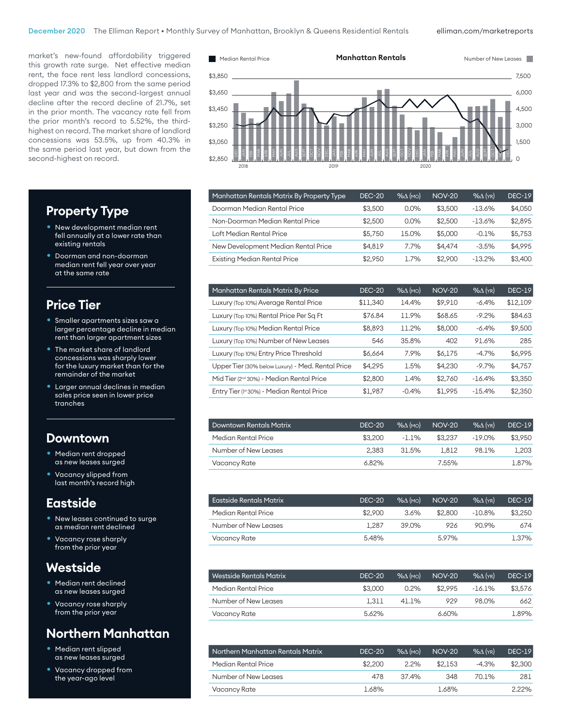elliman.com/marketreports

market's new-found affordability triggered this growth rate surge. Net effective median rent, the face rent less landlord concessions, dropped 17.3% to \$2,800 from the same period last year and was the second-largest annual decline after the record decline of 21.7%, set in the prior month. The vacancy rate fell from the prior month's record to 5.52%, the thirdhighest on record. The market share of landlord concessions was 53.5%, up from 40.3% in the same period last year, but down from the second-highest on record.



| Manhattan Rentals Matrix By Property Type | <b>DEC-20</b> | $% \Delta$ (mo) | <b>NOV-20</b> | $%$ $\Delta$ (YR) | <b>DEC-19</b> |
|-------------------------------------------|---------------|-----------------|---------------|-------------------|---------------|
| Doorman Median Rental Price               | \$3,500       | $0.0\%$         | \$3,500       | $-13.6%$          | \$4,050       |
| Non-Doorman Median Rental Price           | \$2,500       | $0.0\%$         | \$2,500       | $-13.6\%$         | \$2,895       |
| Loft Median Rental Price                  | \$5,750       | 15.0%           | \$5,000       | $-0.1%$           | \$5,753       |
| New Development Median Rental Price       | \$4.819       | 7.7%            | \$4,474       | $-3.5%$           | \$4,995       |
| <b>Existing Median Rental Price</b>       | \$2,950       | 1.7%            | \$2,900       | $-13.2%$          | \$3,400       |
|                                           |               |                 |               |                   |               |

| Manhattan Rentals Matrix By Price                    | <b>DEC-20</b> | $% \Delta (MO)$ | <b>NOV-20</b> | $%$ $\Delta$ (YR) | <b>DEC-19</b> |
|------------------------------------------------------|---------------|-----------------|---------------|-------------------|---------------|
| Luxury (Top 10%) Average Rental Price                | \$11,340      | 14.4%           | \$9,910       | $-6.4%$           | \$12,109      |
| Luxury (Top 10%) Rental Price Per Sq Ft              | \$76.84       | 11.9%           | \$68.65       | $-9.2%$           | \$84.63       |
| Luxury (Top 10%) Median Rental Price                 | \$8,893       | 11.2%           | \$8,000       | $-6.4%$           | \$9,500       |
| Luxury (Top 10%) Number of New Leases                | 546           | 35.8%           | 402           | 91.6%             | 285           |
| Luxury (Top 10%) Entry Price Threshold               | \$6,664       | 7.9%            | \$6,175       | $-4.7%$           | \$6,995       |
| Upper Tier (30% below Luxury) - Med. Rental Price    | \$4,295       | 1.5%            | \$4,230       | $-9.7%$           | \$4.757       |
| Mid Tier (2 <sup>nd</sup> 30%) - Median Rental Price | \$2,800       | 1.4%            | \$2,760       | $-16.4%$          | \$3,350       |
| Entry Tier (1st 30%) - Median Rental Price           | \$1.987       | $-0.4%$         | \$1.995       | $-15.4%$          | \$2,350       |

| <b>Downtown Rentals Matrix</b> | <b>DEC-20</b> | $%$ $\Lambda$ (MO) | <b>NOV-20</b> | $%$ $(\gamma_R)$ | $DEC-19$ |
|--------------------------------|---------------|--------------------|---------------|------------------|----------|
| Median Rental Price            | \$3,200       | -1.1%              | \$3.237       | -19.0%           | \$3.950  |
| Number of New Leases           | 2.383         | 31.5%              | 1.812         | 98.1%            | 1.203    |
| Vacancy Rate                   | 6.82%         |                    | 7.55%         |                  | 1.87%    |

| Eastside Rentals Matrix | <b>DEC-20</b> | $\mathcal{A}(\mathsf{MO})$ | <b>NOV-20</b> | $\sqrt{6\Lambda}$ (YR) | <b>DEC-19</b> |
|-------------------------|---------------|----------------------------|---------------|------------------------|---------------|
| Median Rental Price     | \$2,900       | 3.6%                       | \$2,800       | $-10.8\%$              | \$3,250       |
| Number of New Leases    | 1.287         | 39.0%                      | 926           | 90.9%                  | 674           |
| Vacancy Rate            | 5.48%         |                            | 5.97%         |                        | 1.37%         |

| Westside Rentals Matrix | <b>DEC-20</b> | $%$ $\Lambda$ (MO) | <b>NOV-20</b> | $\%$ $\wedge$ (YR) | $DEC-19$ |
|-------------------------|---------------|--------------------|---------------|--------------------|----------|
| Median Rental Price     | \$3,000       | $0.2\%$            | \$2.995       | -16.1%             | \$3.576  |
| Number of New Leases    | 1.311         | 41.1%              | 929           | 98.0%              | 662      |
| Vacancy Rate            | 5.62%         |                    | <u>ለ ለበ</u> % |                    | 1.89%    |

| Northern Manhattan Rentals Matrix | <b>DEC-20</b> | $%$ $\Lambda$ (MO) | <b>NOV-20</b> | $%$ $(\gamma_R)$ | <b>DEC-19</b> |
|-----------------------------------|---------------|--------------------|---------------|------------------|---------------|
| Median Rental Price               | \$2,200       | 2.2%               | \$2.153       | $-4.3%$          | \$2,300       |
| Number of New Leases              | 478           | 37.4%              | 348           | 70 1%            | 281           |
| Vacancy Rate                      | 1.68%         |                    | 1.68%         |                  | 2.22%         |

#### **Property Type**

- New development median rent fell annually at a lower rate than existing rentals
- Doorman and non-doorman median rent fell year over year at the same rate

#### **Price Tier**

- Smaller apartments sizes saw a larger percentage decline in median rent than larger apartment sizes
- The market share of landlord concessions was sharply lower for the luxury market than for the remainder of the market
- Larger annual declines in median sales price seen in lower price tranches

#### **Downtown**

- Median rent dropped as new leases surged
- Vacancy slipped from last month's record high

#### **Eastside**

- New leases continued to surge as median rent declined
- Vacancy rose sharply from the prior year

#### **Westside**

- Median rent declined as new leases surged
- Vacancy rose sharply from the prior year

#### **Northern Manhattan**

- Median rent slipped as new leases surged
- Vacancy dropped from the year-ago level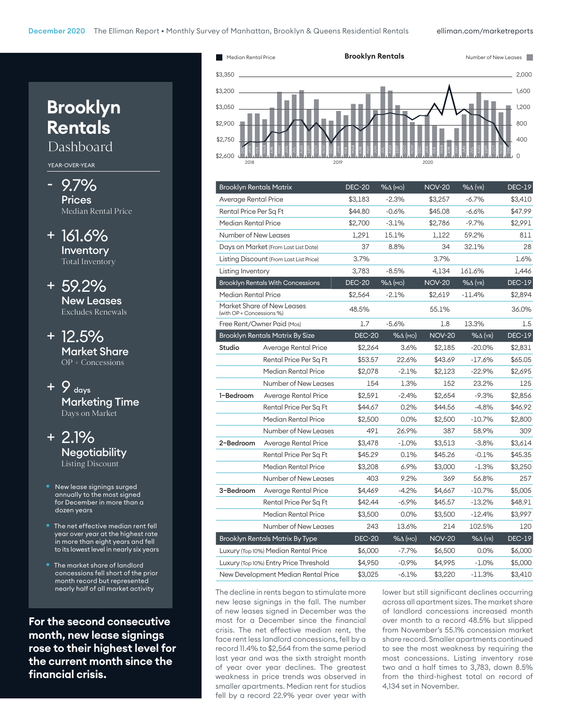

| <b>Brooklyn Rentals Matrix</b>         |                                          | <b>DEC-20</b> | $% \triangle (MO)$ | <b>NOV-20</b> | $% \triangle$ (YR) | <b>DEC-19</b> |
|----------------------------------------|------------------------------------------|---------------|--------------------|---------------|--------------------|---------------|
| Average Rental Price                   |                                          | \$3,183       | $-2.3%$            | \$3,257       | $-6.7%$            | \$3,410       |
| Rental Price Per Sq Ft                 |                                          | \$44.80       | $-0.6%$            | \$45.08       | $-6.6%$            | \$47.99       |
| Median Rental Price                    |                                          | \$2,700       | $-3.1%$            | \$2,786       | $-9.7%$            | \$2,991       |
| <b>Number of New Leases</b>            |                                          | 1,291         | 15.1%              | 1,122         | 59.2%              | 811           |
|                                        | Days on Market (From Last List Date)     | 37            | 8.8%               | 34            | 32.1%              | 28            |
|                                        | Listing Discount (From Last List Price)  | 3.7%          |                    | 3.7%          |                    | 1.6%          |
| Listing Inventory                      |                                          | 3,783         | $-8.5%$            | 4,134         | 161.6%             | 1,446         |
|                                        | <b>Brooklyn Rentals With Concessions</b> | <b>DEC-20</b> | $% \triangle (MO)$ | <b>NOV-20</b> | $%$ $\Delta$ (YR)  | <b>DEC-19</b> |
| Median Rental Price                    |                                          | \$2,564       | $-2.1%$            | \$2,619       | $-11.4%$           | \$2,894       |
| (with OP + Concessions %)              | Market Share of New Leases               | 48.5%         |                    | 55.1%         |                    | 36.0%         |
|                                        | Free Rent/Owner Paid (Mos)               | 1.7           | $-5.6%$            | 1.8           | 13.3%              | 1.5           |
|                                        | <b>Brooklyn Rentals Matrix By Size</b>   | <b>DEC-20</b> | $% \triangle (MO)$ | <b>NOV-20</b> | $% \Delta$ (YR)    | <b>DEC-19</b> |
| Studio                                 | Average Rental Price                     | \$2,264       | 3.6%               | \$2,185       | $-20.0%$           | \$2,831       |
|                                        | Rental Price Per Sq Ft                   | \$53.57       | 22.6%              | \$43.69       | $-17.6%$           | \$65.05       |
|                                        | Median Rental Price                      | \$2,078       | $-2.1%$            | \$2,123       | $-22.9%$           | \$2,695       |
|                                        | Number of New Leases                     | 154           | 1.3%               | 152           | 23.2%              | 125           |
| 1-Bedroom                              | Average Rental Price                     | \$2,591       | $-2.4%$            | \$2,654       | $-9.3%$            | \$2,856       |
|                                        | Rental Price Per Sq Ft                   | \$44.67       | 0.2%               | \$44.56       | $-4.8%$            | \$46.92       |
|                                        | Median Rental Price                      | \$2,500       | $0.0\%$            | \$2,500       | $-10.7%$           | \$2,800       |
|                                        | Number of New Leases                     | 491           | 26.9%              | 387           | 58.9%              | 309           |
| 2-Bedroom                              | Average Rental Price                     | \$3,478       | $-1.0\%$           | \$3,513       | $-3.8%$            | \$3,614       |
|                                        | Rental Price Per Sq Ft                   | \$45.29       | 0.1%               | \$45.26       | $-0.1%$            | \$45.35       |
|                                        | Median Rental Price                      | \$3,208       | 6.9%               | \$3,000       | $-1.3%$            | \$3,250       |
|                                        | Number of New Leases                     | 403           | 9.2%               | 369           | 56.8%              | 257           |
| 3-Bedroom                              | Average Rental Price                     | \$4,469       | $-4.2%$            | \$4,667       | $-10.7%$           | \$5,005       |
|                                        | Rental Price Per Sq Ft                   | \$42.44       | $-6.9%$            | \$45.57       | $-13.2%$           | \$48.91       |
|                                        | Median Rental Price                      | \$3,500       | $0.0\%$            | \$3,500       | $-12.4%$           | \$3,997       |
|                                        | Number of New Leases                     | 243           | 13.6%              | 214           | 102.5%             | 120           |
| <b>Brooklyn Rentals Matrix By Type</b> |                                          | <b>DEC-20</b> | $% \triangle (MO)$ | <b>NOV-20</b> | $% \triangle (YR)$ | <b>DEC-19</b> |
|                                        | Luxury (Top 10%) Median Rental Price     |               | \$6,000<br>$-7.7%$ | \$6,500       | 0.0%               | \$6,000       |
|                                        | Luxury (Top 10%) Entry Price Threshold   | \$4,950       | $-0.9%$            | \$4,995       | $-1.0\%$           | \$5,000       |
|                                        | New Development Median Rental Price      | \$3,025       | $-6.1%$            | \$3,220       | $-11.3%$           | \$3,410       |

The decline in rents began to stimulate more new lease signings in the fall. The number of new leases signed in December was the most for a December since the financial crisis. The net effective median rent, the face rent less landlord concessions, fell by a record 11.4% to \$2,564 from the same period last year and was the sixth straight month of year over year declines. The greatest weakness in price trends was observed in smaller apartments. Median rent for studios fell by a record 22.9% year over year with

lower but still significant declines occurring across all apartment sizes. The market share of landlord concessions increased month over month to a record 48.5% but slipped from November's 55.1% concession market share record. Smaller apartments continued to see the most weakness by requiring the most concessions. Listing inventory rose two and a half times to 3,783, down 8.5% from the third-highest total on record of 4,134 set in November.

## **Brooklyn Rentals**

Dashboard

YEAR-OVER-YEAR

- 9.7% **Prices** Median Rental Price
- + 161.6% Inventory Total Inventory

+ 59.2% New Leases Excludes Renewals

+ 12.5% Market Share OP + Concessions

 $+ 9$  days Marketing Time Days on Market

+ 2.1% **Negotiability** Listing Discount

- New lease signings surged annually to the most signed for December in more than a dozen years
- The net effective median rent fell year over year at the highest rate in more than eight years and fell to its lowest level in nearly six years
- The market share of landlord concessions fell short of the prior month record but represented nearly half of all market activity

**For the second consecutive month, new lease signings rose to their highest level for the current month since the financial crisis.**